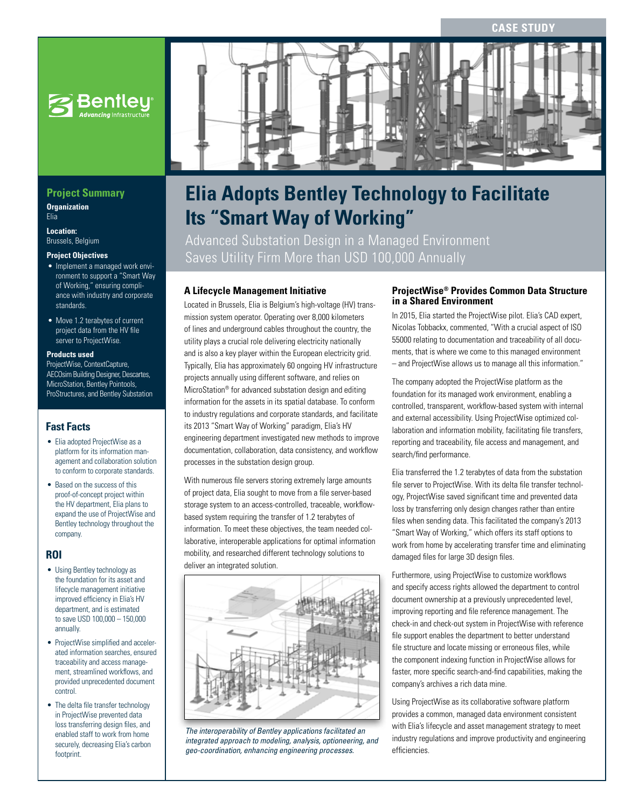**CASE STUDY**



## **Project Summary**

**Organization** Elia

**Location:**  Brussels, Belgium

#### **Project Objectives**

- Implement a managed work environment to support a "Smart Way of Working," ensuring compliance with industry and corporate standards.
- Move 1.2 terabytes of current project data from the HV file server to ProjectWise.

#### **Products used**

ProjectWise, ContextCapture, AECOsim Building Designer, Descartes, MicroStation, Bentley Pointools, ProStructures, and Bentley Substation

## **Fast Facts**

- Elia adopted ProjectWise as a platform for its information management and collaboration solution to conform to corporate standards.
- Based on the success of this proof-of-concept project within the HV department, Elia plans to expand the use of ProjectWise and Bentley technology throughout the company.

## **ROI**

- Using Bentley technology as the foundation for its asset and lifecycle management initiative improved efficiency in Elia's HV department, and is estimated to save USD 100,000 – 150,000 annually.
- ProjectWise simplified and accelerated information searches, ensured traceability and access management, streamlined workflows, and provided unprecedented document control.
- The delta file transfer technology in ProjectWise prevented data loss transferring design files, and enabled staff to work from home securely, decreasing Elia's carbon footprint.



# **Elia Adopts Bentley Technology to Facilitate Its "Smart Way of Working"**

Advanced Substation Design in a Managed Environment Saves Utility Firm More than USD 100,000 Annually

## **A Lifecycle Management Initiative**

Located in Brussels, Elia is Belgium's high-voltage (HV) transmission system operator. Operating over 8,000 kilometers of lines and underground cables throughout the country, the utility plays a crucial role delivering electricity nationally and is also a key player within the European electricity grid. Typically, Elia has approximately 60 ongoing HV infrastructure projects annually using different software, and relies on MicroStation® for advanced substation design and editing information for the assets in its spatial database. To conform to industry regulations and corporate standards, and facilitate its 2013 "Smart Way of Working" paradigm, Elia's HV engineering department investigated new methods to improve documentation, collaboration, data consistency, and workflow processes in the substation design group.

With numerous file servers storing extremely large amounts of project data, Elia sought to move from a file server-based storage system to an access-controlled, traceable, workflowbased system requiring the transfer of 1.2 terabytes of information. To meet these objectives, the team needed collaborative, interoperable applications for optimal information mobility, and researched different technology solutions to deliver an integrated solution.



*The interoperability of Bentley applications facilitated an integrated approach to modeling, analysis, optioneering, and geo-coordination, enhancing engineering processes.*

#### **ProjectWise® Provides Common Data Structure in a Shared Environment**

In 2015, Elia started the ProjectWise pilot. Elia's CAD expert, Nicolas Tobbackx, commented, "With a crucial aspect of ISO 55000 relating to documentation and traceability of all documents, that is where we come to this managed environment – and ProjectWise allows us to manage all this information."

The company adopted the ProjectWise platform as the foundation for its managed work environment, enabling a controlled, transparent, workflow-based system with internal and external accessibility. Using ProjectWise optimized collaboration and information mobility, facilitating file transfers, reporting and traceability, file access and management, and search/find performance.

Elia transferred the 1.2 terabytes of data from the substation file server to ProjectWise. With its delta file transfer technology, ProjectWise saved significant time and prevented data loss by transferring only design changes rather than entire files when sending data. This facilitated the company's 2013 "Smart Way of Working," which offers its staff options to work from home by accelerating transfer time and eliminating damaged files for large 3D design files.

Furthermore, using ProjectWise to customize workflows and specify access rights allowed the department to control document ownership at a previously unprecedented level, improving reporting and file reference management. The check-in and check-out system in ProjectWise with reference file support enables the department to better understand file structure and locate missing or erroneous files, while the component indexing function in ProjectWise allows for faster, more specific search-and-find capabilities, making the company's archives a rich data mine.

Using ProjectWise as its collaborative software platform provides a common, managed data environment consistent with Elia's lifecycle and asset management strategy to meet industry regulations and improve productivity and engineering efficiencies.